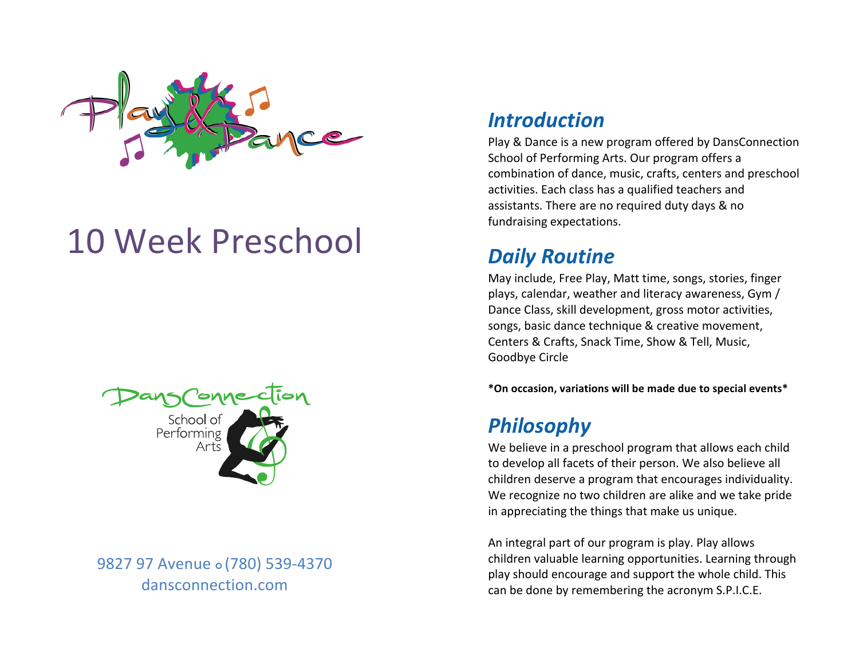

# 10 Week Preschool



9827 97 Avenue <sub>o</sub> (780) 539-4370 dansconnection.com

#### *Introduction*

Play & Dance is a new program offered by DansConnection School of Performing Arts. Our program offers a combination of dance, music, crafts, centers and preschool activities. Each class has a qualified teachers and assistants. There are no required duty days & no fundraising expectations.

# *Daily Routine*

May include, Free Play, Matt time, songs, stories, finger plays, calendar, weather and literacy awareness, Gym / Dance Class, skill development, gross motor activities, songs, basic dance technique & creative movement, Centers & Crafts, Snack Time, Show & Tell, Music, Goodbye Circle 

**\*On occasion, variations will be made due to special events\***

## *Philosophy*

We believe in a preschool program that allows each child to develop all facets of their person. We also believe all children deserve a program that encourages individuality. We recognize no two children are alike and we take pride in appreciating the things that make us unique.

An integral part of our program is play. Play allows children valuable learning opportunities. Learning through play should encourage and support the whole child. This can be done by remembering the acronym S.P.I.C.E.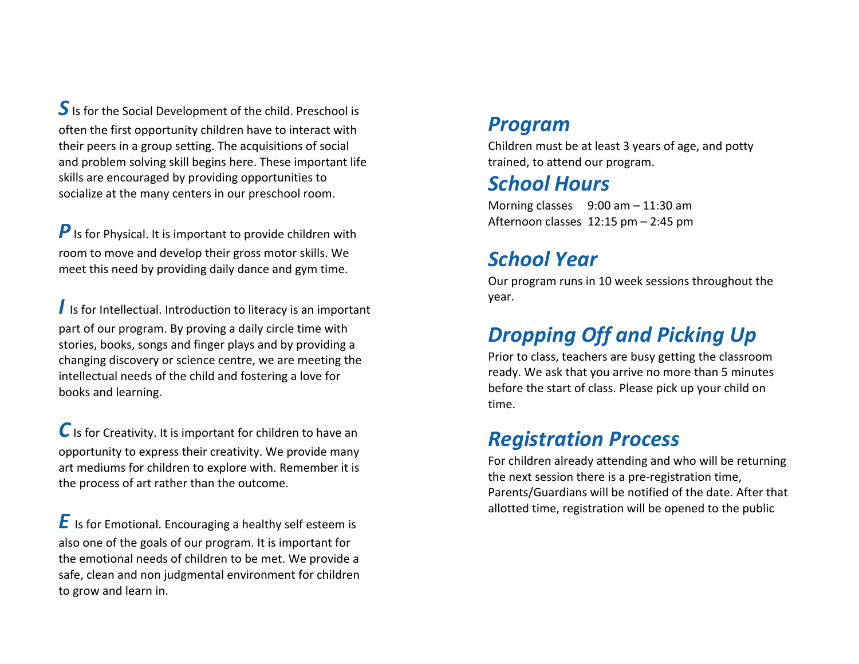**S** Is for the Social Development of the child. Preschool is often the first opportunity children have to interact with their peers in a group setting. The acquisitions of social and problem solving skill begins here. These important life skills are encouraged by providing opportunities to socialize at the many centers in our preschool room.

**P** Is for Physical. It is important to provide children with room to move and develop their gross motor skills. We meet this need by providing daily dance and gym time.

I Is for Intellectual. Introduction to literacy is an important part of our program. By proving a daily circle time with stories, books, songs and finger plays and by providing a changing discovery or science centre, we are meeting the intellectual needs of the child and fostering a love for books and learning.

C Is for Creativity. It is important for children to have an opportunity to express their creativity. We provide many art mediums for children to explore with. Remember it is the process of art rather than the outcome.

**E** Is for Emotional. Encouraging a healthy self esteem is also one of the goals of our program. It is important for the emotional needs of children to be met. We provide a safe, clean and non judgmental environment for children to grow and learn in.

#### *Program*

Children must be at least 3 years of age, and potty trained, to attend our program.

#### *School Hours*

Morning classes  $9:00$  am  $- 11:30$  am Afternoon classes  $12:15$  pm  $- 2:45$  pm

## *School Year*

Our program runs in 10 week sessions throughout the year. 

# **Dropping Off and Picking Up**

Prior to class, teachers are busy getting the classroom ready. We ask that you arrive no more than 5 minutes before the start of class. Please pick up your child on time. 

#### *Registration Process*

For children already attending and who will be returning the next session there is a pre-registration time, Parents/Guardians will be notified of the date. After that allotted time, registration will be opened to the public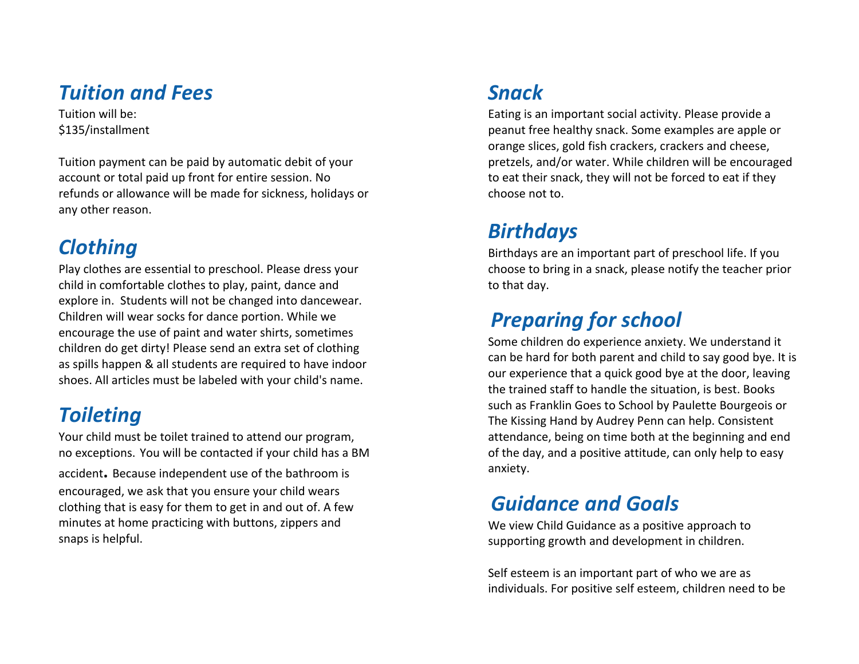#### *Tuition and Fees*

Tuition will be: \$135/installment

Tuition payment can be paid by automatic debit of your account or total paid up front for entire session. No refunds or allowance will be made for sickness, holidays or any other reason.

# *Clothing*

Play clothes are essential to preschool. Please dress your child in comfortable clothes to play, paint, dance and explore in. Students will not be changed into dancewear. Children will wear socks for dance portion. While we encourage the use of paint and water shirts, sometimes children do get dirty! Please send an extra set of clothing as spills happen & all students are required to have indoor shoes. All articles must be labeled with your child's name.

# *Toileting*

Your child must be toilet trained to attend our program, no exceptions. You will be contacted if your child has a BM

accident. Because independent use of the bathroom is encouraged, we ask that you ensure your child wears clothing that is easy for them to get in and out of. A few minutes at home practicing with buttons, zippers and snaps is helpful.

# *Snack*

Eating is an important social activity. Please provide a peanut free healthy snack. Some examples are apple or orange slices, gold fish crackers, crackers and cheese, pretzels, and/or water. While children will be encouraged to eat their snack, they will not be forced to eat if they choose not to.

# *Birthdays*

Birthdays are an important part of preschool life. If you choose to bring in a snack, please notify the teacher prior to that day.

# **Preparing for school**

Some children do experience anxiety. We understand it can be hard for both parent and child to say good bye. It is our experience that a quick good bye at the door, leaving the trained staff to handle the situation, is best. Books such as Franklin Goes to School by Paulette Bourgeois or The Kissing Hand by Audrey Penn can help. Consistent attendance, being on time both at the beginning and end of the day, and a positive attitude, can only help to easy anxiety.

## *Guidance and Goals*

We view Child Guidance as a positive approach to supporting growth and development in children.

Self esteem is an important part of who we are as individuals. For positive self esteem, children need to be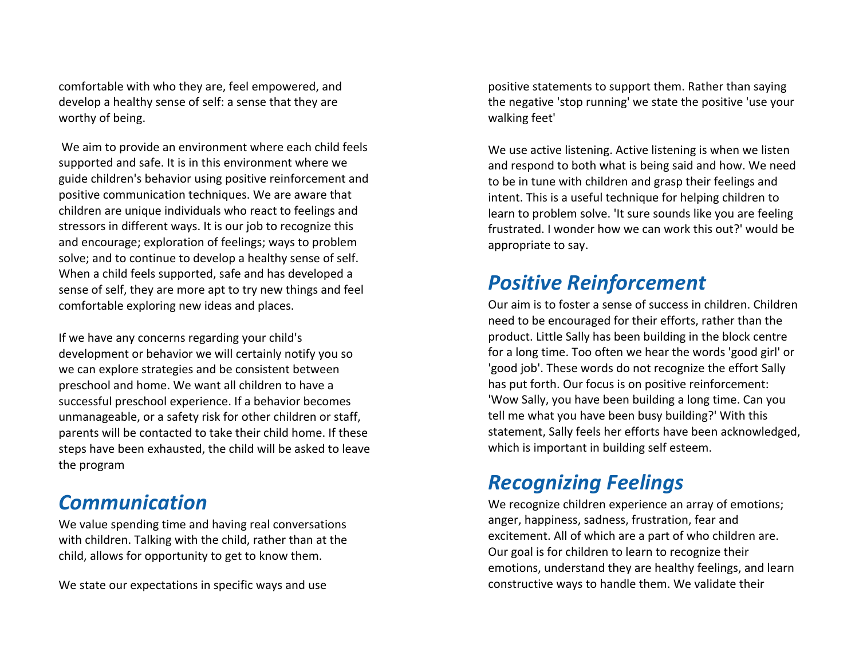comfortable with who they are, feel empowered, and develop a healthy sense of self: a sense that they are worthy of being.

We aim to provide an environment where each child feels supported and safe. It is in this environment where we guide children's behavior using positive reinforcement and positive communication techniques. We are aware that children are unique individuals who react to feelings and stressors in different ways. It is our job to recognize this and encourage; exploration of feelings; ways to problem solve; and to continue to develop a healthy sense of self. When a child feels supported, safe and has developed a sense of self, they are more apt to try new things and feel comfortable exploring new ideas and places.

If we have any concerns regarding your child's development or behavior we will certainly notify you so we can explore strategies and be consistent between preschool and home. We want all children to have a successful preschool experience. If a behavior becomes unmanageable, or a safety risk for other children or staff, parents will be contacted to take their child home. If these steps have been exhausted, the child will be asked to leave the program

#### *Communication*

We value spending time and having real conversations with children. Talking with the child, rather than at the child, allows for opportunity to get to know them.

We state our expectations in specific ways and use

positive statements to support them. Rather than saying the negative 'stop running' we state the positive 'use your walking feet'

We use active listening. Active listening is when we listen and respond to both what is being said and how. We need to be in tune with children and grasp their feelings and intent. This is a useful technique for helping children to learn to problem solve. 'It sure sounds like you are feeling frustrated. I wonder how we can work this out?' would be appropriate to say.

## *Positive Reinforcement*

Our aim is to foster a sense of success in children. Children. need to be encouraged for their efforts, rather than the product. Little Sally has been building in the block centre for a long time. Too often we hear the words 'good girl' or 'good job'. These words do not recognize the effort Sally has put forth. Our focus is on positive reinforcement: 'Wow Sally, you have been building a long time. Can you tell me what you have been busy building?' With this statement, Sally feels her efforts have been acknowledged, which is important in building self esteem.

## *Recognizing Feelings*

We recognize children experience an array of emotions; anger, happiness, sadness, frustration, fear and excitement. All of which are a part of who children are. Our goal is for children to learn to recognize their emotions, understand they are healthy feelings, and learn constructive ways to handle them. We validate their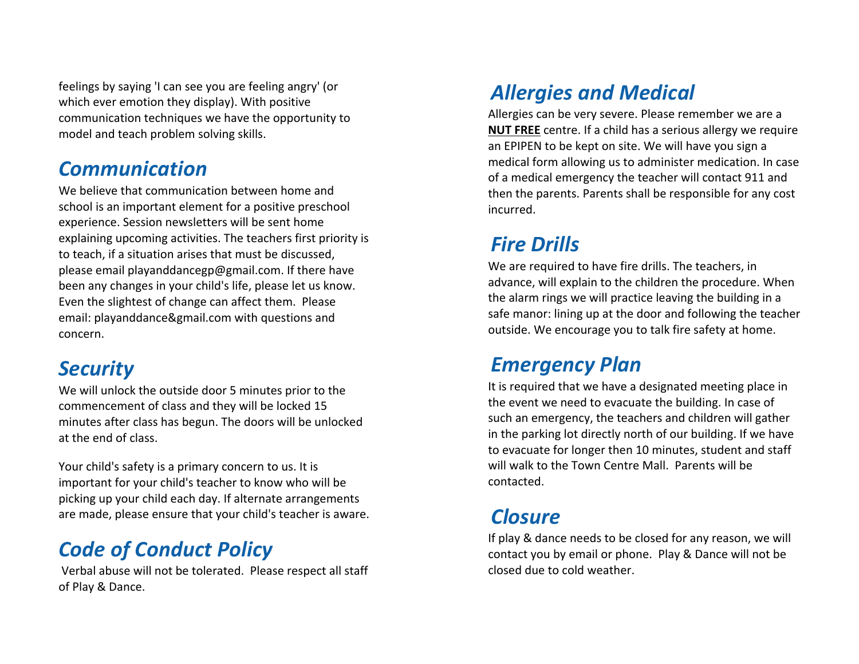feelings by saying 'I can see you are feeling angry' (or which ever emotion they display). With positive communication techniques we have the opportunity to model and teach problem solving skills.

#### *Communication*

We believe that communication between home and school is an important element for a positive preschool experience. Session newsletters will be sent home explaining upcoming activities. The teachers first priority is to teach, if a situation arises that must be discussed, please email playanddancegp@gmail.com. If there have been any changes in your child's life, please let us know. Even the slightest of change can affect them. Please email: playanddance&gmail.com with questions and concern.

## *Security*

We will unlock the outside door 5 minutes prior to the commencement of class and they will be locked 15 minutes after class has begun. The doors will be unlocked at the end of class.

Your child's safety is a primary concern to us. It is important for your child's teacher to know who will be picking up your child each day. If alternate arrangements are made, please ensure that your child's teacher is aware.

# *Code of Conduct Policy*

Verbal abuse will not be tolerated. Please respect all staff of Play & Dance.

# *Allergies and Medical*

Allergies can be very severe. Please remember we are a **NUT FREE** centre. If a child has a serious allergy we require an EPIPEN to be kept on site. We will have you sign a medical form allowing us to administer medication. In case of a medical emergency the teacher will contact 911 and then the parents. Parents shall be responsible for any cost incurred.

# *Fire Drills*

We are required to have fire drills. The teachers, in advance, will explain to the children the procedure. When the alarm rings we will practice leaving the building in a safe manor: lining up at the door and following the teacher outside. We encourage you to talk fire safety at home.

## *Emergency Plan*

It is required that we have a designated meeting place in the event we need to evacuate the building. In case of such an emergency, the teachers and children will gather in the parking lot directly north of our building. If we have to evacuate for longer then 10 minutes, student and staff will walk to the Town Centre Mall. Parents will be contacted.

## *Closure*

If play & dance needs to be closed for any reason, we will contact you by email or phone. Play & Dance will not be closed due to cold weather.